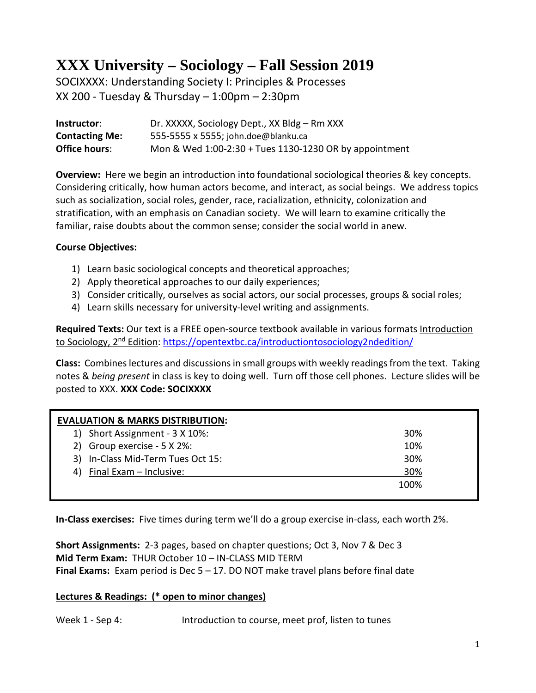# **XXX University – Sociology – Fall Session 2019**

SOCIXXXX: Understanding Society I: Principles & Processes XX 200 - Tuesday & Thursday – 1:00pm – 2:30pm

| Instructor:           | Dr. XXXXX, Sociology Dept., XX Bldg – Rm XXX           |
|-----------------------|--------------------------------------------------------|
| <b>Contacting Me:</b> | 555-5555 x 5555; john.doe@blanku.ca                    |
| <b>Office hours:</b>  | Mon & Wed 1:00-2:30 + Tues 1130-1230 OR by appointment |

**Overview:** Here we begin an introduction into foundational sociological theories & key concepts. Considering critically, how human actors become, and interact, as social beings. We address topics such as socialization, social roles, gender, race, racialization, ethnicity, colonization and stratification, with an emphasis on Canadian society. We will learn to examine critically the familiar, raise doubts about the common sense; consider the social world in anew.

## **Course Objectives:**

- 1) Learn basic sociological concepts and theoretical approaches;
- 2) Apply theoretical approaches to our daily experiences;
- 3) Consider critically, ourselves as social actors, our social processes, groups & social roles;
- 4) Learn skills necessary for university-level writing and assignments.

**Required Texts:** Our text is a FREE open-source textbook available in various formats Introduction to Sociology, 2nd Edition:<https://opentextbc.ca/introductiontosociology2ndedition/>

**Class:** Combines lectures and discussions in small groups with weekly readings from the text. Taking notes & *being present* in class is key to doing well. Turn off those cell phones. Lecture slides will be posted to XXX. **XXX Code: SOCIXXXX**

| <b>EVALUATION &amp; MARKS DISTRIBUTION:</b> |      |
|---------------------------------------------|------|
| Short Assignment - 3 X 10%:<br>1)           | 30%  |
| Group exercise - 5 X 2%:<br>2)              | 10%  |
| In-Class Mid-Term Tues Oct 15:<br>3)        | 30%  |
| Final Exam - Inclusive:<br>4)               | 30%  |
|                                             | 100% |
|                                             |      |

**In-Class exercises:** Five times during term we'll do a group exercise in-class, each worth 2%.

**Short Assignments:** 2-3 pages, based on chapter questions; Oct 3, Nov 7 & Dec 3 **Mid Term Exam:** THUR October 10 – IN-CLASS MID TERM **Final Exams:** Exam period is Dec 5 – 17. DO NOT make travel plans before final date

## **Lectures & Readings: (\* open to minor changes)**

Week 1 - Sep 4: Introduction to course, meet prof, listen to tunes